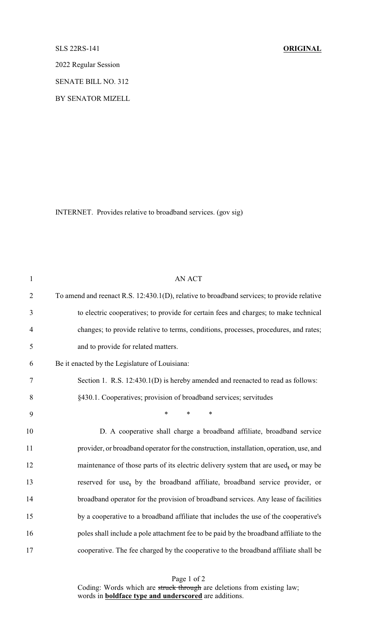## SLS 22RS-141 **ORIGINAL**

2022 Regular Session

SENATE BILL NO. 312

BY SENATOR MIZELL

INTERNET. Provides relative to broadband services. (gov sig)

| <b>AN ACT</b>                                                                              |
|--------------------------------------------------------------------------------------------|
| To amend and reenact R.S. 12:430.1(D), relative to broadband services; to provide relative |
| to electric cooperatives; to provide for certain fees and charges; to make technical       |
| changes; to provide relative to terms, conditions, processes, procedures, and rates;       |
| and to provide for related matters.                                                        |
| Be it enacted by the Legislature of Louisiana:                                             |
| Section 1. R.S. 12:430.1(D) is hereby amended and reenacted to read as follows:            |
| §430.1. Cooperatives; provision of broadband services; servitudes                          |
| $\ast$<br>$\ast$<br>$\ast$                                                                 |
| D. A cooperative shall charge a broadband affiliate, broadband service                     |
| provider, or broadband operator for the construction, installation, operation, use, and    |
| maintenance of those parts of its electric delivery system that are used, or may be        |
| reserved for use, by the broadband affiliate, broadband service provider, or               |
| broadband operator for the provision of broadband services. Any lease of facilities        |
| by a cooperative to a broadband affiliate that includes the use of the cooperative's       |
| poles shall include a pole attachment fee to be paid by the broadband affiliate to the     |
| cooperative. The fee charged by the cooperative to the broadband affiliate shall be        |
|                                                                                            |

Page 1 of 2 Coding: Words which are struck through are deletions from existing law; words in **boldface type and underscored** are additions.